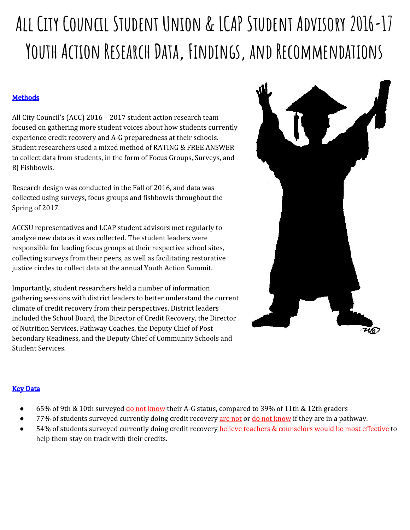# **All City Council Student Union & LCAP Student Advisory 2016-17 Youth Action Research Data, Findings, and Recommendations**

# **Methods**

All City Council's (ACC) 2016 – 2017 student action research team focused on gathering more student voices about how students currently experience credit recovery and A-G preparedness at their schools. Student researchers used a mixed method of RATING & FREE ANSWER to collect data from students, in the form of Focus Groups, Surveys, and RJ Fishbowls.

Research design was conducted in the Fall of 2016, and data was collected using surveys, focus groups and fishbowls throughout the Spring of 2017.

ACCSU representatives and LCAP student advisors met regularly to analyze new data as it was collected. The student leaders were responsible for leading focus groups at their respective school sites, collecting surveys from their peers, as well as facilitating restorative justice circles to collect data at the annual Youth Action Summit.

Importantly, student researchers held a number of information gathering sessions with district leaders to better understand the current climate of credit recovery from their perspectives. District leaders included the School Board, the Director of Credit Recovery, the Director of Nutrition Services, Pathway Coaches, the Deputy Chief of Post Secondary Readiness, and the Deputy Chief of Community Schools and Student Services.



# **Key Data**

- 65% of 9th & 10th surveyed do not know their A-G status, compared to 39% of 11th & 12th graders
- 77% of students surveyed currently doing credit recovery are not or do not know if they are in a pathway.
- 54% of students surveyed currently doing credit recovery believe teachers & counselors would be most effective to help them stay on track with their credits.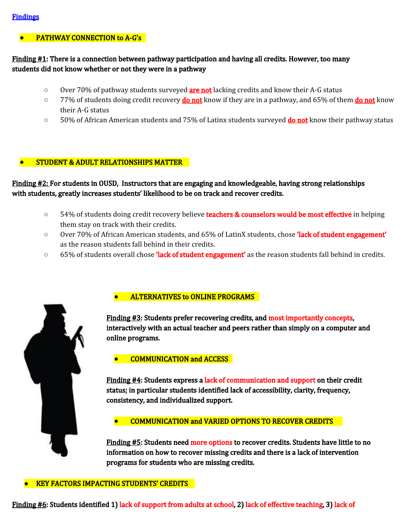# **PATHWAY CONNECTION to A-G's**

# Finding  $#1$ : There is a connection between pathway participation and having all credits. However, too many students did not know whether or not they were in a pathway

- Over 70% of pathway students surveyed **are not** lacking credits and know their A-G status
- **○** 77% of students doing credit recovery do not know if they are in a pathway, and 65% of them do not know their A-G status
- 50% of African American students and 75% of Latinx students surveyed **do not** know their pathway status

### **●** STUDENT & ADULT RELATIONSHIPS MATTER

Finding #2: For students in OUSD, Instructors that are engaging and knowledgeable, having strong relationships with students, greatly increases students' likelihood to be on track and recover credits.

- **○** 54% of students doing credit recovery believe teachers & counselors would be most effective in helping them stay on track with their credits.
- Over 70% of African American students, and 65% of LatinX students, chose **'lack of student engagement'** as the reason students fall behind in their credits.
- 65% of students overall chose **'lack of student engagement'** as the reason students fall behind in credits.



# **ALTERNATIVES to ONLINE PROGRAMS**

Finding #3: Students prefer recovering credits, and most importantly concepts, interactively with an actual teacher and peers rather than simply on a computer and online programs.

#### **●** COMMUNICATION and ACCESS

Finding #4: Students express a lack of communication and support on their credit status; in particular students identified lack of accessibility, clarity, frequency, consistency, and individualized support.

#### **●** COMMUNICATION and VARIED OPTIONS TO RECOVER CREDITS

Finding #5: Students need more options to recover credits. Students have little to no information on how to recover missing credits and there is a lack of intervention programs for students who are missing credits.

#### **●** KEY FACTORS IMPACTING STUDENTS' CREDITS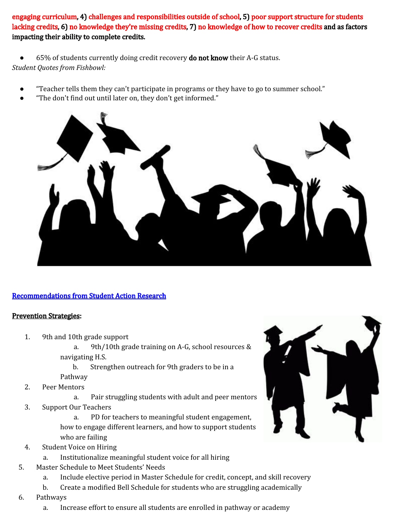engaging curriculum, 4) challenges and responsibilities outside of school, 5) poor support structure for students lacking credits, 6) no knowledge they're missing credits, 7) no knowledge of how to recover credits and as factors impacting their ability to complete credits.

65% of students currently doing credit recovery **do not know** their A-G status. *Student Quotes from Fishbowl:*

- "Teacher tells them they can't participate in programs or they have to go to summer school."
- "The don't find out until later on, they don't get informed."



# Recommendations from Student Action Research

#### Prevention Strategies:

- 1. 9th and 10th grade support
	- a. 9th/10th grade training on A-G, school resources & navigating H.S.
	- b. Strengthen outreach for 9th graders to be in a Pathway
- 2. Peer Mentors
	- a. Pair struggling students with adult and peer mentors
- 3. Support Our Teachers

a. PD for teachers to meaningful student engagement, how to engage different learners, and how to support students who are failing

- 4. Student Voice on Hiring
	- a. Institutionalize meaningful student voice for all hiring
- 5. Master Schedule to Meet Students' Needs
	- a. Include elective period in Master Schedule for credit, concept, and skill recovery
	- b. Create a modified Bell Schedule for students who are struggling academically
- 6. Pathways
	- a. Increase effort to ensure all students are enrolled in pathway or academy